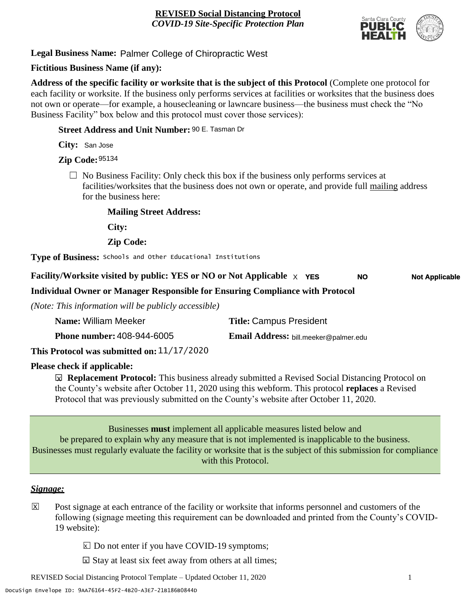

**Legal Business Name:** Palmer College of Chiropractic West

#### **Fictitious Business Name (if any):**

**Address of the specific facility or worksite that is the subject of this Protocol** (Complete one protocol for each facility or worksite. If the business only performs services at facilities or worksites that the business does not own or operate—for example, a housecleaning or lawncare business—the business must check the "No Business Facility" box below and this protocol must cover those services):

**Street Address and Unit Number:** 90 E. Tasman Dr

**City:** San Jose

**Zip Code:** 95134

 $\Box$  No Business Facility: Only check this box if the business only performs services at facilities/worksites that the business does not own or operate, and provide full mailing address for the business here:

**Mailing Street Address:**

**City:**

**Zip Code:**

**Type of Business:** Schools and Other Educational Institutions

#### **Facility/Worksite visited by public: YES or NO or Not Applicable** X **YES NO Not Applicable**

**Individual Owner or Manager Responsible for Ensuring Compliance with Protocol**

*(Note: This information will be publicly accessible)*

| Name: William Meeker                                           | <b>Title: Campus President</b>        |
|----------------------------------------------------------------|---------------------------------------|
| <b>Phone number: 408-944-6005</b>                              | Email Address: bill.meeker@palmer.edu |
| 11/17/200<br>$\mathbf{1}$ , $\mathbf{1}$ , $\mathbf{1}$<br>n 1 |                                       |

**This Protocol was submitted on:** 11/17/2020

#### **Please check if applicable:**

**<u><b>⊠**</u> Replacement Protocol: This business already submitted a Revised Social Distancing Protocol on the County's website after October 11, 2020 using this webform. This protocol **replaces** a Revised Protocol that was previously submitted on the County's website after October 11, 2020.

Businesses **must** implement all applicable measures listed below and be prepared to explain why any measure that is not implemented is inapplicable to the business. Businesses must regularly evaluate the facility or worksite that is the subject of this submission for compliance with this Protocol.

#### *Signage:*

- Post signage at each entrance of the facility or worksite that informs personnel and customers of the following (signage meeting this requirement can be downloaded and printed from the County's COVID-19 website):  $|\overline{x}|$ 
	- $\boxed{\times}$  Do not enter if you have COVID-19 symptoms;
	- $\boxtimes$  Stay at least six feet away from others at all times;

REVISED Social Distancing Protocol Template – Updated October 11, 2020 1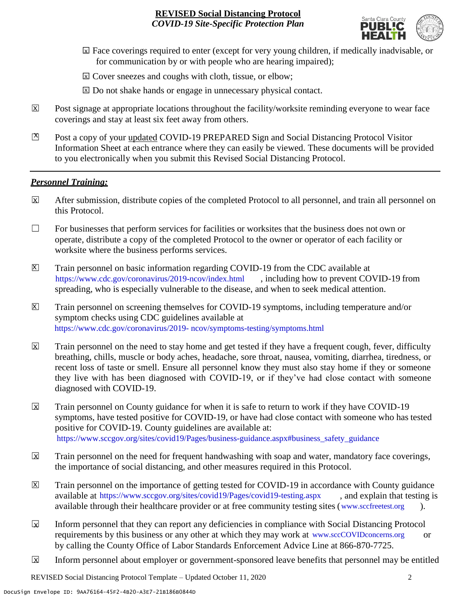

- ☐ Face coverings required to enter (except for very young children, if medically inadvisable, or X for communication by or with people who are hearing impaired);
- ⊠ Cover sneezes and coughs with cloth, tissue, or elbow;
- ⊠ Do not shake hands or engage in unnecessary physical contact.
- Post signage at appropriate locations throughout the facility/worksite reminding everyone to wear face coverings and stay at least six feet away from others. X
- Post a copy of your updated COVID-19 PREPARED Sign and Social Distancing Protocol Visitor Information Sheet at each entrance where they can easily be viewed. These documents will be provided to you electronically when you submit this Revised Social Distancing Protocol.  $\mathbb{Z}$

#### *Personnel Training:*

- After submission, distribute copies of the completed Protocol to all personnel, and train all personnel on this Protocol.  $\mathbf x$
- $\Box$  For businesses that perform services for facilities or worksites that the business does not own or operate, distribute a copy of the completed Protocol to the owner or operator of each facility or worksite where the business performs services.
- Train personnel on basic information regarding COVID-19 from the CDC available at [https://www.cdc.gov/coronavirus/2019-ncov/index.html,](https://www.cdc.gov/coronavirus/2019-ncov/index.html) including how to prevent COVID-19 from spreading, who is especially vulnerable to the disease, and when to seek medical attention.  $\mathsf{X}$
- Train personnel on screening themselves for COVID-19 symptoms, including temperature and/or symptom checks using CDC guidelines available at [https://www.cdc.gov/coronavirus/2019-](https://www.cdc.gov/coronavirus/2019-ncov/symptoms-testing/symptoms.html) [ncov/symptoms-testing/symptoms.html.](https://www.cdc.gov/coronavirus/2019-ncov/symptoms-testing/symptoms.html) https://www.cdc.gov/coronavirus/2019- ncov/symptoms-testing/symptoms.html  $|\mathsf{X}|$
- Train personnel on the need to stay home and get tested if they have a frequent cough, fever, difficulty breathing, chills, muscle or body aches, headache, sore throat, nausea, vomiting, diarrhea, tiredness, or recent loss of taste or smell. Ensure all personnel know they must also stay home if they or someone they live with has been diagnosed with COVID-19, or if they've had close contact with someone diagnosed with COVID-19.  $\overline{\mathsf{x}}$
- Train personnel on County guidance for when it is safe to return to work if they have COVID-19 symptoms, have tested positive for COVID-19, or have had close contact with someone who has tested positive for COVID-19. County guidelines are available at: [https://www.sccgov.org/sites/covid19/Pages/business-guidance.aspx#business\\_safety\\_guidance.](https://www.sccgov.org/sites/covid19/Pages/business-guidance.aspx#business_safety_guidance.) https://www.sccgov.org/sites/covid19/Pages/business-guidance.aspx#business\_safety\_guidance  $\overline{\mathbf{x}}$
- Train personnel on the need for frequent handwashing with soap and water, mandatory face coverings, the importance of social distancing, and other measures required in this Protocol.  $\overline{\mathsf{x}}$
- Train personnel on the importance of getting tested for COVID-19 in accordance with County guidance available at [https://www.sccgov.org/sites/covid19/Pages/covid19-testing.aspx,](https://www.sccgov.org/sites/covid19/Pages/covid19-testing.aspx) and explain that testing is available through their healthcare provider or at free community testing sites [\(www.sccfreetest.org](http://www.sccfreetest.org/) ).  $\vert X \vert$
- Inform personnel that they can report any deficiencies in compliance with Social Distancing Protocol requirements by this business or any other at which they may work at [www.sccCOVIDconcerns.org](http://www.scccovidconcerns.org/) or by calling the County Office of Labor Standards Enforcement Advice Line at 866-870-7725.  $\overline{\mathbf{x}}$
- Inform personnel about employer or government-sponsored leave benefits that personnel may be entitled  $\boxtimes$

REVISED Social Distancing Protocol Template – Updated October 11, 2020 2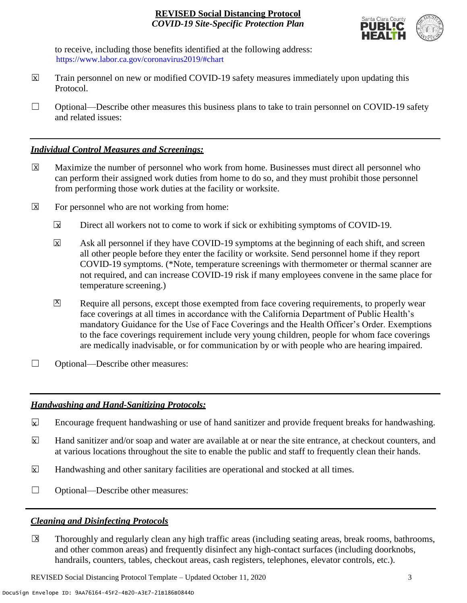

to receive, including those benefits identified at the following address: [https://www.labor.ca.gov/coronavirus2019/#chart.](https://www.labor.ca.gov/coronavirus2019/#chart) https://www.labor.ca.gov/coronavirus2019/#chart

- Train personnel on new or modified COVID-19 safety measures immediately upon updating this Protocol.  $\boxtimes$
- $\Box$  Optional—Describe other measures this business plans to take to train personnel on COVID-19 safety and related issues:

#### *Individual Control Measures and Screenings:*

- Maximize the number of personnel who work from home. Businesses must direct all personnel who can perform their assigned work duties from home to do so, and they must prohibit those personnel from performing those work duties at the facility or worksite.  $|\overline{X}|$
- For personnel who are not working from home:  $\boxtimes$ 
	- Direct all workers not to come to work if sick or exhibiting symptoms of COVID-19.  $\overline{\mathbf{x}}$
	- Ask all personnel if they have COVID-19 symptoms at the beginning of each shift, and screen all other people before they enter the facility or worksite. Send personnel home if they report COVID-19 symptoms. (\*Note, temperature screenings with thermometer or thermal scanner are not required, and can increase COVID-19 risk if many employees convene in the same place for temperature screening.) X
	- Require all persons, except those exempted from face covering requirements, to properly wear face coverings at all times in accordance with the California Department of Public Health's mandatory Guidance for the Use of Face Coverings and the Health Officer's Order. Exemptions to the face coverings requirement include very young children, people for whom face coverings are medically inadvisable, or for communication by or with people who are hearing impaired.  $\mathbf{X}$
- ☐ Optional—Describe other measures:

#### *Handwashing and Hand-Sanitizing Protocols:*

- Encourage frequent handwashing or use of hand sanitizer and provide frequent breaks for handwashing.  $\mathbf{x}$
- Hand sanitizer and/or soap and water are available at or near the site entrance, at checkout counters, and at various locations throughout the site to enable the public and staff to frequently clean their hands.  $\overline{\mathbf{x}}$
- Handwashing and other sanitary facilities are operational and stocked at all times.  $\mathbf{x}$
- ☐ Optional—Describe other measures:

#### *Cleaning and Disinfecting Protocols*

☐ Thoroughly and regularly clean any high traffic areas (including seating areas, break rooms, bathrooms, and other common areas) and frequently disinfect any high-contact surfaces (including doorknobs, handrails, counters, tables, checkout areas, cash registers, telephones, elevator controls, etc.).  $\overline{\mathsf{x}}$ 

REVISED Social Distancing Protocol Template – Updated October 11, 2020 3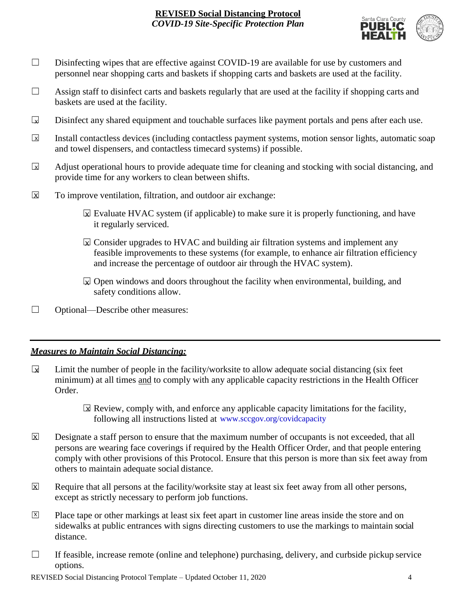

- □ Disinfecting wipes that are effective against COVID-19 are available for use by customers and personnel near shopping carts and baskets if shopping carts and baskets are used at the facility.
- $\Box$  Assign staff to disinfect carts and baskets regularly that are used at the facility if shopping carts and baskets are used at the facility.
- Disinfect any shared equipment and touchable surfaces like payment portals and pens after each use.  $\Box$
- Install contactless devices (including contactless payment systems, motion sensor lights, automatic soap and towel dispensers, and contactless timecard systems) if possible.  $\overline{\mathbf{x}}$
- Adjust operational hours to provide adequate time for cleaning and stocking with social distancing, and provide time for any workers to clean between shifts.  $\sqrt{X}$
- To improve ventilation, filtration, and outdoor air exchange:  $\overline{\mathsf{x}}$ 
	- $\boxtimes$  Evaluate HVAC system (if applicable) to make sure it is properly functioning, and have it regularly serviced.
	- $\boxtimes$  Consider upgrades to HVAC and building air filtration systems and implement any feasible improvements to these systems (for example, to enhance air filtration efficiency and increase the percentage of outdoor air through the HVAC system).
	- $\boxdot$  Open windows and doors throughout the facility when environmental, building, and safety conditions allow.
- ☐ Optional—Describe other measures:

#### *Measures to Maintain Social Distancing:*

- Limit the number of people in the facility/worksite to allow adequate social distancing (six feet minimum) at all times and to comply with any applicable capacity restrictions in the Health Officer Order.  $\mathbf{r}$ 
	- $\boxtimes$  Review, comply with, and enforce any applicable capacity limitations for the facility, following all instructions listed at www.sccgov.org/covidcapacity
- Designate a staff person to ensure that the maximum number of occupants is not exceeded, that all persons are wearing face coverings if required by the Health Officer Order, and that people entering comply with other provisions of this Protocol. Ensure that this person is more than six feet away from others to maintain adequate social distance.  $\overline{X}$
- Require that all persons at the facility/worksite stay at least six feet away from all other persons, except as strictly necessary to perform job functions. X
- Place tape or other markings at least six feet apart in customer line areas inside the store and on sidewalks at public entrances with signs directing customers to use the markings to maintain social distance. X
- $\Box$  If feasible, increase remote (online and telephone) purchasing, delivery, and curbside pickup service options.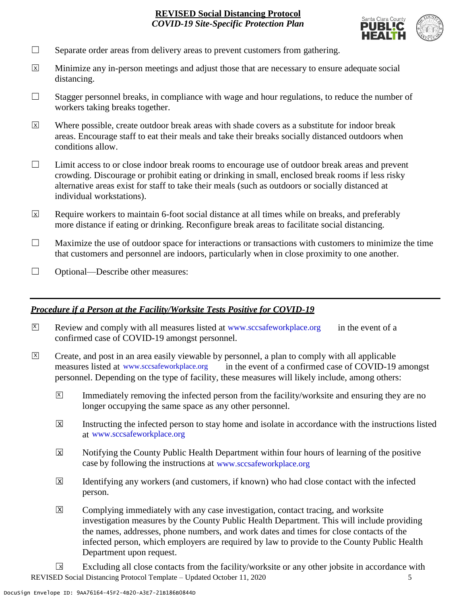

- $\Box$  Separate order areas from delivery areas to prevent customers from gathering.
- Minimize any in-person meetings and adjust those that are necessary to ensure adequate social distancing.  $\overline{x}$
- $\Box$  Stagger personnel breaks, in compliance with wage and hour regulations, to reduce the number of workers taking breaks together.
- Where possible, create outdoor break areas with shade covers as a substitute for indoor break areas. Encourage staff to eat their meals and take their breaks socially distanced outdoors when conditions allow.  $\overline{x}$
- ☐ Limit access to or close indoor break rooms to encourage use of outdoor break areas and prevent crowding. Discourage or prohibit eating or drinking in small, enclosed break rooms if less risky alternative areas exist for staff to take their meals (such as outdoors or socially distanced at individual workstations).
- Require workers to maintain 6-foot social distance at all times while on breaks, and preferably more distance if eating or drinking. Reconfigure break areas to facilitate social distancing. X
- $\Box$  Maximize the use of outdoor space for interactions or transactions with customers to minimize the time that customers and personnel are indoors, particularly when in close proximity to one another.
- ☐ Optional—Describe other measures:

#### *Procedure if a Person at the Facility/Worksite Tests Positive for COVID-19*

- $\boxtimes$  Review and comply with all measures listed at [www.sccsafeworkplace.org](http://www.sccsafeworkplace.org/) in the event of a confirmed case of COVID-19 amongst personnel. X
- ☐ Create, and post in an area easily viewable by personnel, a plan to comply with all applicable in the event of a confirmed case of COVID-19 amongst personnel. Depending on the type of facility, these measures will likely include, among others:  $\overline{X}$ measures listed at www.sccsafeworkplace.org
	- Immediately removing the infected person from the facility/worksite and ensuring they are no longer occupying the same space as any other personnel.  $\vert X \vert$
	- Instructing the infected person to stay home and isolate in accordance with the instructions listed at [www.sccsafeworkplace.org.](file:///C:/Users/raphael.rajendra/AppData/Local/Microsoft/Windows/INetCache/Content.Outlook/PTLHNOTE/www.sccsafeworkplace.org) www.sccsafeworkplace.org X
	- Notifying the County Public Health Department within four hours of learning of the positive case by following the instructions at www.sccsafeworkplace.org  $\overline{X}$
	- Identifying any workers (and customers, if known) who had close contact with the infected person.  $\overline{X}$
	- Complying immediately with any case investigation, contact tracing, and worksite investigation measures by the County Public Health Department. This will include providing the names, addresses, phone numbers, and work dates and times for close contacts of the infected person, which employers are required by law to provide to the County Public Health Department upon request.  $\boxed{\mathsf{X}}$

REVISED Social Distancing Protocol Template – Updated October 11, 2020 5 Excluding all close contacts from the facility/worksite or any other jobsite in accordance with  $\sqrt{X}$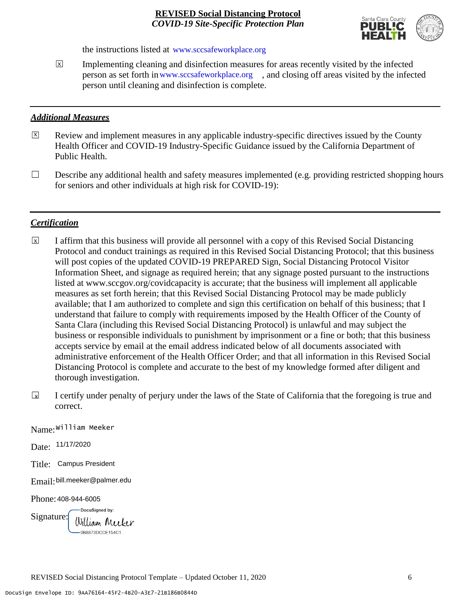

the instructions listed at www.sccsafeworkplace.org

Implementing cleaning and disinfection measures for areas recently visited by the infected person as set forth in [www.sccsafeworkplace.org,](http://www.sccsafeworkplace.org/) and closing off areas visited by the infected person until cleaning and disinfection is complete.  $\overline{\mathsf{x}}$ 

#### *Additional Measures*

- Review and implement measures in any applicable industry-specific directives issued by the County Health Officer and COVID-19 Industry-Specific Guidance issued by the California Department of Public Health. X
- $\Box$  Describe any additional health and safety measures implemented (e.g. providing restricted shopping hours for seniors and other individuals at high risk for COVID-19):

#### *Certification*

- ☐ I affirm that this business will provide all personnel with a copy of this Revised Social Distancing Protocol and conduct trainings as required in this Revised Social Distancing Protocol; that this business will post copies of the updated COVID-19 PREPARED Sign, Social Distancing Protocol Visitor Information Sheet, and signage as required herein; that any signage posted pursuant to the instructions listed at www.sccgov.org/covidcapacity is accurate; that the business will implement all applicable measures as set forth herein; that this Revised Social Distancing Protocol may be made publicly available; that I am authorized to complete and sign this certification on behalf of this business; that I understand that failure to comply with requirements imposed by the Health Officer of the County of Santa Clara (including this Revised Social Distancing Protocol) is unlawful and may subject the business or responsible individuals to punishment by imprisonment or a fine or both; that this business accepts service by email at the email address indicated below of all documents associated with administrative enforcement of the Health Officer Order; and that all information in this Revised Social Distancing Protocol is complete and accurate to the best of my knowledge formed after diligent and thorough investigation.  $\overline{x}$
- ☐ I certify under penalty of perjury under the laws of the State of California that the foregoing is true and correct.  $\sqrt{x}$

Name: William Meeker

Date: 11/17/2020

Title: Campus President

Email: bill.meeker@palmer.edu

Phone: 408-944-6005

DocuSigned by: Signature: William Meeker 0B8873DCCE154C1...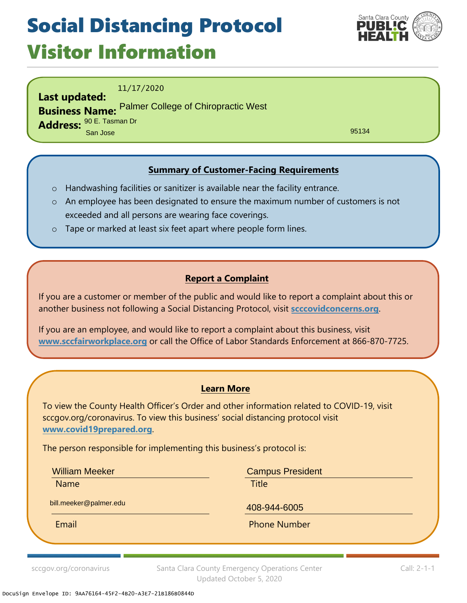## Social Distancing Protocol Visitor Information



11/17/2020

**Last updated: Business Name:** Palmer College of Chiropractic West**Address:** 90 E. Tasman Dr San Jose

95134

### **Summary of Customer-Facing Requirements**

- o Handwashing facilities or sanitizer is available near the facility entrance.
- o An employee has been designated to ensure the maximum number of customers is not exceeded and all persons are wearing face coverings.
- o Tape or marked at least six feet apart where people form lines.

#### **Report a Complaint**

If you are a customer or member of the public and would like to report a complaint about this or another business not following a Social Distancing Protocol, visit **[scccovidconcerns.org](https://aca-prod.accela.com/sccgoveh/Welcome.aspx)**.

If you are an employee, and would like to report a complaint about this business, visit **[www.sccfairworkplace.org](https://www.sccgov.org/sites/da/Pages/DA-office-site-home-page.aspx)** or call the Office of Labor Standards Enforcement at 866-870-7725.

#### **Learn More**

To view the County Health Officer's Order and other information related to COVID-19, visit sccgov.org/coronavirus. To view this business' social distancing protocol visit **[www.covid19prepared.org](https://www.sccgov.org/sites/covid19/Pages/social-distancing-protocol.aspx)**.

The person responsible for implementing this business's protocol is:

William Meeker

Name **Name is a strategie of the contract of the Title** 

bill.meeker@palmer.edu

Campus President

408-944-6005

Email Phone Number

sccgov.org/coronavirus Santa Clara County Emergency Operations Center Updated October 5, 2020